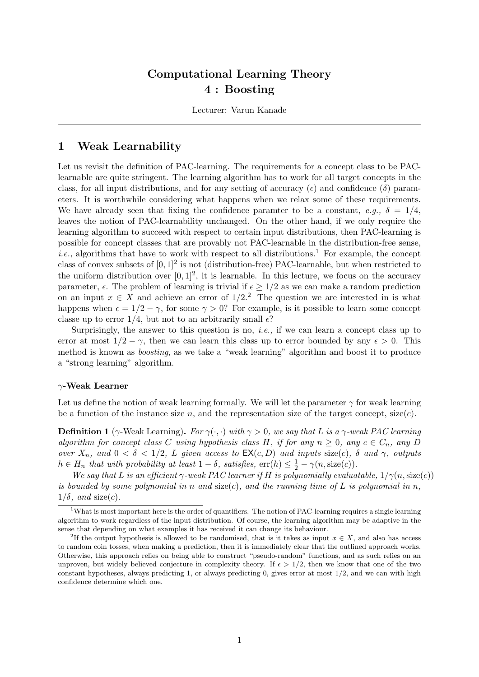# Computational Learning Theory 4 : Boosting

Lecturer: Varun Kanade

## 1 Weak Learnability

Let us revisit the definition of PAC-learning. The requirements for a concept class to be PAClearnable are quite stringent. The learning algorithm has to work for all target concepts in the class, for all input distributions, and for any setting of accuracy ( $\epsilon$ ) and confidence ( $\delta$ ) parameters. It is worthwhile considering what happens when we relax some of these requirements. We have already seen that fixing the confidence paramter to be a constant, e.g.,  $\delta = 1/4$ , leaves the notion of PAC-learnability unchanged. On the other hand, if we only require the learning algorithm to succeed with respect to certain input distributions, then PAC-learning is possible for concept classes that are provably not PAC-learnable in the distribution-free sense, *i.e.*, algorithms that have to work with respect to all distributions.<sup>1</sup> For example, the concept class of convex subsets of  $[0,1]^2$  is not (distribution-free) PAC-learnable, but when restricted to the uniform distribution over  $[0, 1]^2$ , it is learnable. In this lecture, we focus on the accuracy parameter,  $\epsilon$ . The problem of learning is trivial if  $\epsilon > 1/2$  as we can make a random prediction on an input  $x \in X$  and achieve an error of  $1/2<sup>2</sup>$ . The question we are interested in is what happens when  $\epsilon = 1/2 - \gamma$ , for some  $\gamma > 0$ ? For example, is it possible to learn some concept classe up to error  $1/4$ , but not to an arbitrarily small  $\epsilon$ ?

Surprisingly, the answer to this question is no, *i.e.*, if we can learn a concept class up to error at most  $1/2 - \gamma$ , then we can learn this class up to error bounded by any  $\epsilon > 0$ . This method is known as boosting, as we take a "weak learning" algorithm and boost it to produce a "strong learning" algorithm.

#### $\gamma$ -Weak Learner

Let us define the notion of weak learning formally. We will let the parameter  $\gamma$  for weak learning be a function of the instance size n, and the representation size of the target concept,  $size(c)$ .

**Definition 1** ( $\gamma$ -Weak Learning). For  $\gamma(\cdot, \cdot)$  with  $\gamma > 0$ , we say that L is a  $\gamma$ -weak PAC learning algorithm for concept class C using hypothesis class H, if for any  $n \geq 0$ , any  $c \in C_n$ , any D over  $X_n$ , and  $0 < \delta < 1/2$ , L given access to  $\mathsf{EX}(c, D)$  and inputs size(c),  $\delta$  and  $\gamma$ , outputs  $h \in H_n$  that with probability at least  $1 - \delta$ , satisfies,  $err(h) \leq \frac{1}{2} - \gamma(n, size(c)).$ 

We say that L is an efficient  $\gamma$ -weak PAC learner if H is polynomially evaluatable,  $1/\gamma(n,\text{size}(c))$ is bounded by some polynomial in n and size(c), and the running time of L is polynomial in n,  $1/\delta$ , and size(c).

<sup>&</sup>lt;sup>1</sup>What is most important here is the order of quantifiers. The notion of PAC-learning requires a single learning algorithm to work regardless of the input distribution. Of course, the learning algorithm may be adaptive in the sense that depending on what examples it has received it can change its behaviour.

<sup>&</sup>lt;sup>2</sup>If the output hypothesis is allowed to be randomised, that is it takes as input  $x \in X$ , and also has access to random coin tosses, when making a prediction, then it is immediately clear that the outlined approach works. Otherwise, this approach relies on being able to construct "pseudo-random" functions, and as such relies on an unproven, but widely believed conjecture in complexity theory. If  $\epsilon > 1/2$ , then we know that one of the two constant hypotheses, always predicting 1, or always predicting 0, gives error at most  $1/2$ , and we can with high confidence determine which one.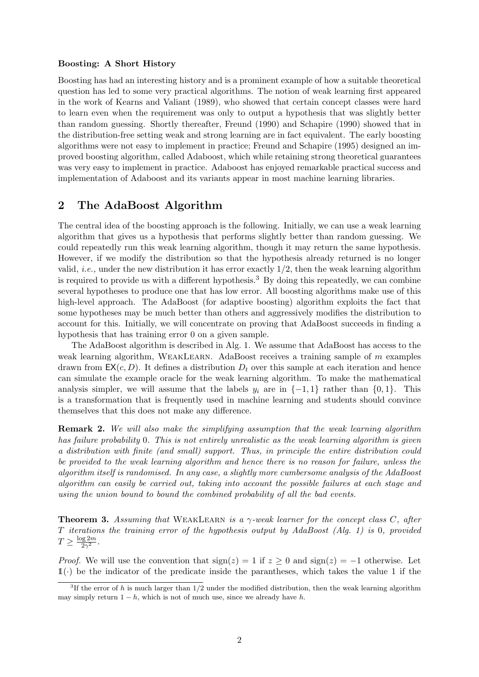#### Boosting: A Short History

Boosting has had an interesting history and is a prominent example of how a suitable theoretical question has led to some very practical algorithms. The notion of weak learning first appeared in the work of Kearns and Valiant (1989), who showed that certain concept classes were hard to learn even when the requirement was only to output a hypothesis that was slightly better than random guessing. Shortly thereafter, Freund (1990) and Schapire (1990) showed that in the distribution-free setting weak and strong learning are in fact equivalent. The early boosting algorithms were not easy to implement in practice; Freund and Schapire (1995) designed an improved boosting algorithm, called Adaboost, which while retaining strong theoretical guarantees was very easy to implement in practice. Adaboost has enjoyed remarkable practical success and implementation of Adaboost and its variants appear in most machine learning libraries.

### 2 The AdaBoost Algorithm

The central idea of the boosting approach is the following. Initially, we can use a weak learning algorithm that gives us a hypothesis that performs slightly better than random guessing. We could repeatedly run this weak learning algorithm, though it may return the same hypothesis. However, if we modify the distribution so that the hypothesis already returned is no longer valid, *i.e.*, under the new distribution it has error exactly  $1/2$ , then the weak learning algorithm is required to provide us with a different hypothesis.<sup>3</sup> By doing this repeatedly, we can combine several hypotheses to produce one that has low error. All boosting algorithms make use of this high-level approach. The AdaBoost (for adaptive boosting) algorithm exploits the fact that some hypotheses may be much better than others and aggressively modifies the distribution to account for this. Initially, we will concentrate on proving that AdaBoost succeeds in finding a hypothesis that has training error 0 on a given sample.

The AdaBoost algorithm is described in Alg. 1. We assume that AdaBoost has access to the weak learning algorithm, WEAKLEARN. AdaBoost receives a training sample of m examples drawn from  $EX(c, D)$ . It defines a distribution  $D<sub>t</sub>$  over this sample at each iteration and hence can simulate the example oracle for the weak learning algorithm. To make the mathematical analysis simpler, we will assume that the labels  $y_i$  are in  $\{-1, 1\}$  rather than  $\{0, 1\}$ . This is a transformation that is frequently used in machine learning and students should convince themselves that this does not make any difference.

**Remark 2.** We will also make the simplifying assumption that the weak learning algorithm has failure probability 0. This is not entirely unrealistic as the weak learning algorithm is given a distribution with finite (and small) support. Thus, in principle the entire distribution could be provided to the weak learning algorithm and hence there is no reason for failure, unless the algorithm itself is randomised. In any case, a slightly more cumbersome analysis of the AdaBoost algorithm can easily be carried out, taking into account the possible failures at each stage and using the union bound to bound the combined probability of all the bad events.

**Theorem 3.** Assuming that WEAKLEARN is a  $\gamma$ -weak learner for the concept class C, after T iterations the training error of the hypothesis output by AdaBoost (Alg. 1) is 0, provided  $T \geq \frac{\log 2m}{2\alpha^2}$  $\frac{\log 2m}{2\gamma^2}$  .

*Proof.* We will use the convention that  $sign(z) = 1$  if  $z \ge 0$  and  $sign(z) = -1$  otherwise. Let  $\mathbb{1}(\cdot)$  be the indicator of the predicate inside the parantheses, which takes the value 1 if the

<sup>&</sup>lt;sup>3</sup>If the error of h is much larger than  $1/2$  under the modified distribution, then the weak learning algorithm may simply return  $1 - h$ , which is not of much use, since we already have h.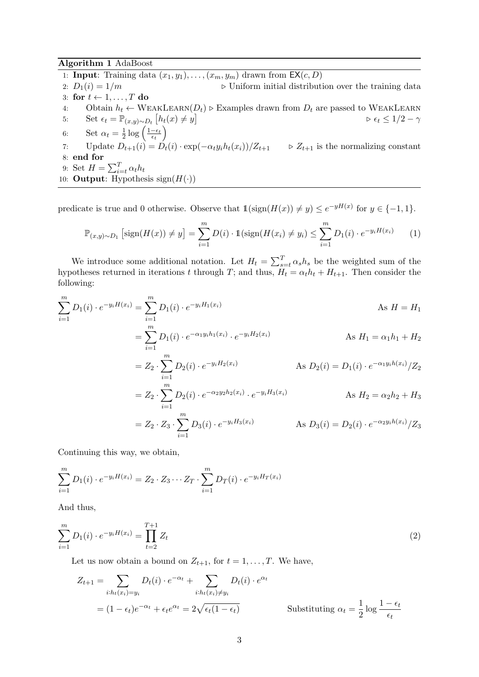Algorithm 1 AdaBoost

- 1: **Input:** Training data  $(x_1, y_1), \ldots, (x_m, y_m)$  drawn from  $EX(c, D)$
- 2:  $D_1(i) = 1/m$  b Uniform initial distribution over the training data 3: for  $t \leftarrow 1, \ldots, T$  do
- 4: Obtain  $h_t \leftarrow \text{WEAKLEARN}(D_t) \triangleright \text{Examples drawn from } D_t$  are passed to WEAKLEARN
- 5: Set  $\epsilon_t = \mathbb{P}_{(x,y)\sim D_t} [h_t(x) \neq y]$   $\qquad \qquad \epsilon_t \leq 1/2 \gamma$ 6: Set  $\alpha_t = \frac{1}{2}$  $rac{1}{2} \log \left( \frac{1-\epsilon_t}{\epsilon_t} \right)$  $\frac{-\epsilon_t}{\epsilon_t}\Big)$ 7: Update  $D_{t+1}(i) = D_t(i) \cdot \exp(-\alpha_t y_i h_t(x_i)) / Z_{t+1}$   $\Rightarrow Z_{t+1}$  is the normalizing constant
- 8: end for
- 9: Set  $H = \sum_{i=t}^{T} \alpha_t h_t$
- 10: **Output:** Hypothesis sign $(H(\cdot))$

predicate is true and 0 otherwise. Observe that  $\mathbb{1}(\text{sign}(H(x)) \neq y) \leq e^{-yH(x)}$  for  $y \in \{-1,1\}$ .

$$
\mathbb{P}_{(x,y)\sim D_1} \left[ sign(H(x)) \neq y \right] = \sum_{i=1}^{m} D(i) \cdot \mathbb{1} (sign(H(x_i) \neq y_i) \leq \sum_{i=1}^{m} D_1(i) \cdot e^{-y_i H(x_i)} \tag{1}
$$

We introduce some additional notation. Let  $H_t = \sum_{s=t}^{T} \alpha_s h_s$  be the weighted sum of the hypotheses returned in iterations t through T; and thus,  $H_t = \alpha_t h_t + H_{t+1}$ . Then consider the following:

$$
\sum_{i=1}^{m} D_1(i) \cdot e^{-y_i H(x_i)} = \sum_{i=1}^{m} D_1(i) \cdot e^{-y_i H_1(x_i)}
$$
\n
$$
= \sum_{i=1}^{m} D_1(i) \cdot e^{-\alpha_1 y_i h_1(x_i)} \cdot e^{-y_i H_2(x_i)}
$$
\nAs  $H_1 = \alpha_1 h_1 + H_2$ 

$$
i=1
$$
  
=  $Z_2 \cdot \sum_{i=1}^{m} D_2(i) \cdot e^{-y_i H_2(x_i)}$  As  $D_2(i) = D_1(i) \cdot e^{-\alpha_1 y_i h(x_i)}/Z_2$   
=  $Z_2 \cdot \sum_{i=1}^{m} D_2(i) \cdot e^{-\alpha_2 y_2 h_2(x_i)} \cdot e^{-y_i H_3(x_i)}$  As  $H_2 = \alpha_2 h_2 + H_3$ 

$$
= Z_2 \cdot Z_3 \cdot \sum_{i=1}^{m} D_3(i) \cdot e^{-y_i H_3(x_i)} \qquad \text{As } D_3(i) = D_2(i) \cdot e^{-\alpha_2 y_i h(x_i)} / Z_3
$$

Continuing this way, we obtain,

$$
\sum_{i=1}^{m} D_1(i) \cdot e^{-y_i H(x_i)} = Z_2 \cdot Z_3 \cdots Z_T \cdot \sum_{i=1}^{m} D_T(i) \cdot e^{-y_i H_T(x_i)}
$$

And thus,

$$
\sum_{i=1}^{m} D_1(i) \cdot e^{-y_i H(x_i)} = \prod_{t=2}^{T+1} Z_t \tag{2}
$$

Let us now obtain a bound on  $Z_{t+1}$ , for  $t = 1, \ldots, T$ . We have,

$$
Z_{t+1} = \sum_{i:h_t(x_i) = y_i} D_t(i) \cdot e^{-\alpha_t} + \sum_{i:h_t(x_i) \neq y_i} D_t(i) \cdot e^{\alpha_t}
$$
  
=  $(1 - \epsilon_t)e^{-\alpha_t} + \epsilon_t e^{\alpha_t} = 2\sqrt{\epsilon_t (1 - \epsilon_t)}$  Substituting  $\alpha_t = \frac{1}{2} \log \frac{1 - \epsilon_t}{\epsilon_t}$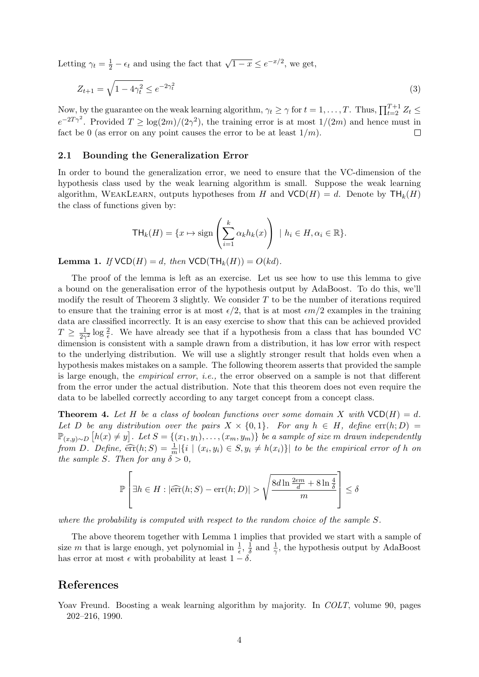Letting  $\gamma_t = \frac{1}{2} - \epsilon_t$  and using the fact that  $\sqrt{1-x} \le e^{-x/2}$ , we get,

$$
Z_{t+1} = \sqrt{1 - 4\gamma_t^2} \le e^{-2\gamma_t^2}
$$
\n(3)

Now, by the guarantee on the weak learning algorithm,  $\gamma_t \geq \gamma$  for  $t = 1, ..., T$ . Thus,  $\prod_{t=2}^{T+1} Z_t \leq$  $e^{-2T\gamma^2}$ . Provided  $T \geq \log(2m)/(2\gamma^2)$ , the training error is at most  $1/(2m)$  and hence must in fact be 0 (as error on any point causes the error to be at least  $1/m$ ).  $\Box$ 

#### 2.1 Bounding the Generalization Error

In order to bound the generalization error, we need to ensure that the VC-dimension of the hypothesis class used by the weak learning algorithm is small. Suppose the weak learning algorithm, WEAKLEARN, outputs hypotheses from H and  $VCD(H) = d$ . Denote by  $TH_k(H)$ the class of functions given by:

$$
\mathsf{TH}_k(H) = \{x \mapsto \text{sign}\left(\sum_{i=1}^k \alpha_k h_k(x)\right) \mid h_i \in H, \alpha_i \in \mathbb{R}\}.
$$

**Lemma 1.** If  $VCD(H) = d$ , then  $VCD(TH_k(H)) = O(kd)$ .

The proof of the lemma is left as an exercise. Let us see how to use this lemma to give a bound on the generalisation error of the hypothesis output by AdaBoost. To do this, we'll modify the result of Theorem 3 slightly. We consider  $T$  to be the number of iterations required to ensure that the training error is at most  $\epsilon/2$ , that is at most  $\epsilon m/2$  examples in the training data are classified incorrectly. It is an easy exercise to show that this can be achieved provided  $T \geq \frac{1}{2\alpha}$  $\frac{1}{2\gamma^2}$  log  $\frac{2}{\epsilon}$ . We have already see that if a hypothesis from a class that has bounded VC dimension is consistent with a sample drawn from a distribution, it has low error with respect to the underlying distribution. We will use a slightly stronger result that holds even when a hypothesis makes mistakes on a sample. The following theorem asserts that provided the sample is large enough, the empirical error, i.e., the error observed on a sample is not that different from the error under the actual distribution. Note that this theorem does not even require the data to be labelled correctly according to any target concept from a concept class.

**Theorem 4.** Let H be a class of boolean functions over some domain X with  $VCD(H) = d$ . Let D be any distribution over the pairs  $X \times \{0,1\}$ . For any  $h \in H$ , define  $\text{err}(h; D)$  $\mathbb{P}_{(x,y)\sim D}\left[h(x)\neq y\right]$ . Let  $S = \{(x_1,y_1),\ldots,(x_m,y_m)\}$  be a sample of size m drawn independently from D. Define,  $\widehat{\text{err}}(h;S) = \frac{1}{m} |\{i \mid (x_i, y_i) \in S, y_i \neq h(x_i)\}|$  to be the empirical error of h on the sample S. Then for any  $\delta > 0$ ,

$$
\mathbb{P}\left[\exists h \in H : |\widehat{\text{err}}(h;S) - \text{err}(h;D)| > \sqrt{\frac{8d\ln\frac{2em}{d} + 8\ln\frac{4}{\delta}}{m}}\right] \le \delta
$$

where the probability is computed with respect to the random choice of the sample S.

The above theorem together with Lemma 1 implies that provided we start with a sample of size m that is large enough, yet polynomial in  $\frac{1}{\epsilon}$ ,  $\frac{1}{\delta}$  $\frac{1}{\delta}$  and  $\frac{1}{\gamma}$ , the hypothesis output by AdaBoost has error at most  $\epsilon$  with probability at least  $1 - \delta$ .

### References

Yoav Freund. Boosting a weak learning algorithm by majority. In *COLT*, volume 90, pages 202–216, 1990.